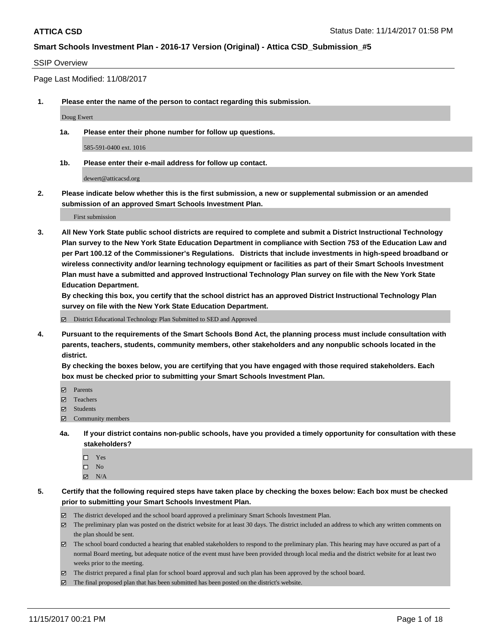#### SSIP Overview

Page Last Modified: 11/08/2017

**1. Please enter the name of the person to contact regarding this submission.**

Doug Ewert

**1a. Please enter their phone number for follow up questions.**

585-591-0400 ext. 1016

**1b. Please enter their e-mail address for follow up contact.**

dewert@atticacsd.org

**2. Please indicate below whether this is the first submission, a new or supplemental submission or an amended submission of an approved Smart Schools Investment Plan.**

First submission

**3. All New York State public school districts are required to complete and submit a District Instructional Technology Plan survey to the New York State Education Department in compliance with Section 753 of the Education Law and per Part 100.12 of the Commissioner's Regulations. Districts that include investments in high-speed broadband or wireless connectivity and/or learning technology equipment or facilities as part of their Smart Schools Investment Plan must have a submitted and approved Instructional Technology Plan survey on file with the New York State Education Department.** 

**By checking this box, you certify that the school district has an approved District Instructional Technology Plan survey on file with the New York State Education Department.**

District Educational Technology Plan Submitted to SED and Approved

**4. Pursuant to the requirements of the Smart Schools Bond Act, the planning process must include consultation with parents, teachers, students, community members, other stakeholders and any nonpublic schools located in the district.** 

**By checking the boxes below, you are certifying that you have engaged with those required stakeholders. Each box must be checked prior to submitting your Smart Schools Investment Plan.**

- **Parents**
- Teachers
- **☑** Students
- $\Xi$  Community members
- **4a. If your district contains non-public schools, have you provided a timely opportunity for consultation with these stakeholders?**
	- □ Yes
	- $\square$  No
	- $\boxtimes$  N/A

**5. Certify that the following required steps have taken place by checking the boxes below: Each box must be checked prior to submitting your Smart Schools Investment Plan.**

- The district developed and the school board approved a preliminary Smart Schools Investment Plan.
- The preliminary plan was posted on the district website for at least 30 days. The district included an address to which any written comments on the plan should be sent.
- The school board conducted a hearing that enabled stakeholders to respond to the preliminary plan. This hearing may have occured as part of a normal Board meeting, but adequate notice of the event must have been provided through local media and the district website for at least two weeks prior to the meeting.
- The district prepared a final plan for school board approval and such plan has been approved by the school board.
- $\boxtimes$  The final proposed plan that has been submitted has been posted on the district's website.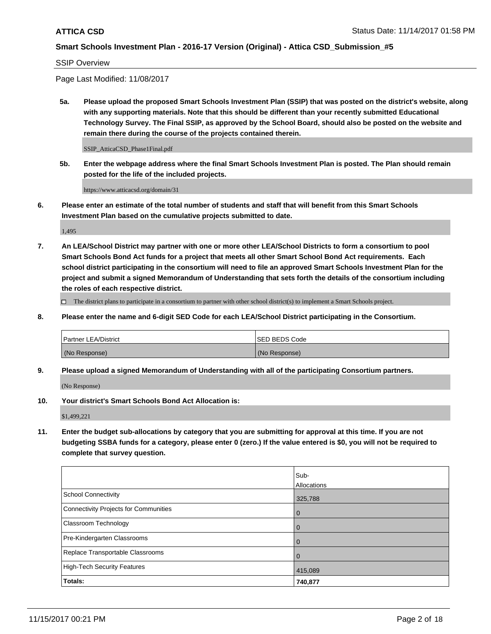SSIP Overview

Page Last Modified: 11/08/2017

**5a. Please upload the proposed Smart Schools Investment Plan (SSIP) that was posted on the district's website, along with any supporting materials. Note that this should be different than your recently submitted Educational Technology Survey. The Final SSIP, as approved by the School Board, should also be posted on the website and remain there during the course of the projects contained therein.**

SSIP\_AtticaCSD\_Phase1Final.pdf

**5b. Enter the webpage address where the final Smart Schools Investment Plan is posted. The Plan should remain posted for the life of the included projects.**

https://www.atticacsd.org/domain/31

**6. Please enter an estimate of the total number of students and staff that will benefit from this Smart Schools Investment Plan based on the cumulative projects submitted to date.**

1,495

**7. An LEA/School District may partner with one or more other LEA/School Districts to form a consortium to pool Smart Schools Bond Act funds for a project that meets all other Smart School Bond Act requirements. Each school district participating in the consortium will need to file an approved Smart Schools Investment Plan for the project and submit a signed Memorandum of Understanding that sets forth the details of the consortium including the roles of each respective district.**

 $\Box$  The district plans to participate in a consortium to partner with other school district(s) to implement a Smart Schools project.

**8. Please enter the name and 6-digit SED Code for each LEA/School District participating in the Consortium.**

| <b>Partner LEA/District</b> | <b>ISED BEDS Code</b> |
|-----------------------------|-----------------------|
| (No Response)               | (No Response)         |

**9. Please upload a signed Memorandum of Understanding with all of the participating Consortium partners.**

(No Response)

**10. Your district's Smart Schools Bond Act Allocation is:**

\$1,499,221

**11. Enter the budget sub-allocations by category that you are submitting for approval at this time. If you are not budgeting SSBA funds for a category, please enter 0 (zero.) If the value entered is \$0, you will not be required to complete that survey question.**

|                                              | Sub-        |
|----------------------------------------------|-------------|
|                                              | Allocations |
| <b>School Connectivity</b>                   | 325,788     |
| <b>Connectivity Projects for Communities</b> | 0           |
| <b>Classroom Technology</b>                  | 0           |
| Pre-Kindergarten Classrooms                  | $\mathbf 0$ |
| Replace Transportable Classrooms             | 0           |
| <b>High-Tech Security Features</b>           | 415,089     |
| Totals:                                      | 740,877     |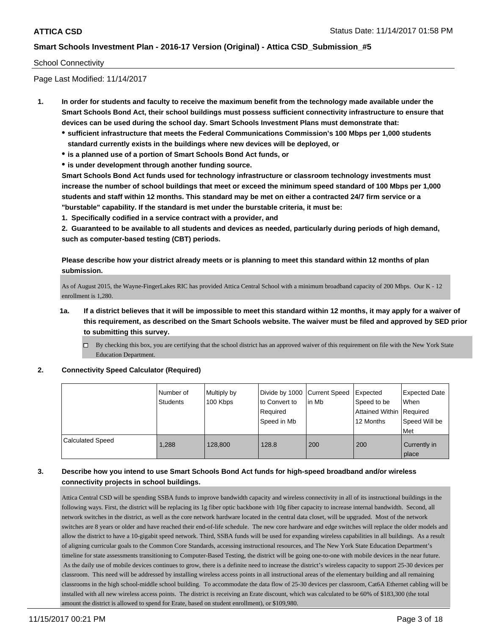#### School Connectivity

Page Last Modified: 11/14/2017

- **1. In order for students and faculty to receive the maximum benefit from the technology made available under the Smart Schools Bond Act, their school buildings must possess sufficient connectivity infrastructure to ensure that devices can be used during the school day. Smart Schools Investment Plans must demonstrate that:**
	- **sufficient infrastructure that meets the Federal Communications Commission's 100 Mbps per 1,000 students standard currently exists in the buildings where new devices will be deployed, or**
	- **is a planned use of a portion of Smart Schools Bond Act funds, or**
	- **is under development through another funding source.**

**Smart Schools Bond Act funds used for technology infrastructure or classroom technology investments must increase the number of school buildings that meet or exceed the minimum speed standard of 100 Mbps per 1,000 students and staff within 12 months. This standard may be met on either a contracted 24/7 firm service or a "burstable" capability. If the standard is met under the burstable criteria, it must be:**

**1. Specifically codified in a service contract with a provider, and**

**2. Guaranteed to be available to all students and devices as needed, particularly during periods of high demand, such as computer-based testing (CBT) periods.**

**Please describe how your district already meets or is planning to meet this standard within 12 months of plan submission.**

As of August 2015, the Wayne-FingerLakes RIC has provided Attica Central School with a minimum broadband capacity of 200 Mbps. Our K - 12 enrollment is 1,280.

- **1a. If a district believes that it will be impossible to meet this standard within 12 months, it may apply for a waiver of this requirement, as described on the Smart Schools website. The waiver must be filed and approved by SED prior to submitting this survey.**
	- By checking this box, you are certifying that the school district has an approved waiver of this requirement on file with the New York State Education Department.

#### **2. Connectivity Speed Calculator (Required)**

|                         | I Number of<br><b>Students</b> | Multiply by<br>100 Kbps | Divide by 1000   Current Speed<br>to Convert to<br>Required<br>Speed in Mb | lin Mb | Expected<br>Speed to be<br>Attained Within Required<br>12 Months | <b>Expected Date</b><br>When<br>Speed Will be<br>Met |
|-------------------------|--------------------------------|-------------------------|----------------------------------------------------------------------------|--------|------------------------------------------------------------------|------------------------------------------------------|
| <b>Calculated Speed</b> | 1,288                          | 128,800                 | 128.8                                                                      | 200    | 200                                                              | Currently in<br>place                                |

### **3. Describe how you intend to use Smart Schools Bond Act funds for high-speed broadband and/or wireless connectivity projects in school buildings.**

Attica Central CSD will be spending SSBA funds to improve bandwidth capacity and wireless connectivity in all of its instructional buildings in the following ways. First, the district will be replacing its 1g fiber optic backbone with 10g fiber capacity to increase internal bandwidth. Second, all network switches in the district, as well as the core network hardware located in the central data closet, will be upgraded. Most of the network switches are 8 years or older and have reached their end-of-life schedule. The new core hardware and edge switches will replace the older models and allow the district to have a 10-gigabit speed network. Third, SSBA funds will be used for expanding wireless capabilities in all buildings. As a result of aligning curricular goals to the Common Core Standards, accessing instructional resources, and The New York State Education Department's timeline for state assessments transitioning to Computer-Based Testing, the district will be going one-to-one with mobile devices in the near future. As the daily use of mobile devices continues to grow, there is a definite need to increase the district's wireless capacity to support 25-30 devices per classroom. This need will be addressed by installing wireless access points in all instructional areas of the elementary building and all remaining classrooms in the high school-middle school building. To accommodate the data flow of 25-30 devices per classroom, Cat6A Ethernet cabling will be installed with all new wireless access points. The district is receiving an Erate discount, which was calculated to be 60% of \$183,300 (the total amount the district is allowed to spend for Erate, based on student enrollment), or \$109,980.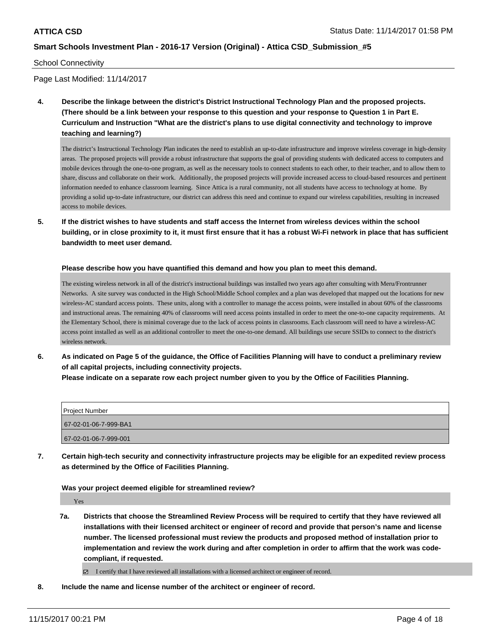#### School Connectivity

Page Last Modified: 11/14/2017

**4. Describe the linkage between the district's District Instructional Technology Plan and the proposed projects. (There should be a link between your response to this question and your response to Question 1 in Part E. Curriculum and Instruction "What are the district's plans to use digital connectivity and technology to improve teaching and learning?)**

The district's Instructional Technology Plan indicates the need to establish an up-to-date infrastructure and improve wireless coverage in high-density areas. The proposed projects will provide a robust infrastructure that supports the goal of providing students with dedicated access to computers and mobile devices through the one-to-one program, as well as the necessary tools to connect students to each other, to their teacher, and to allow them to share, discuss and collaborate on their work. Additionally, the proposed projects will provide increased access to cloud-based resources and pertinent information needed to enhance classroom learning. Since Attica is a rural community, not all students have access to technology at home. By providing a solid up-to-date infrastructure, our district can address this need and continue to expand our wireless capabilities, resulting in increased access to mobile devices.

**5. If the district wishes to have students and staff access the Internet from wireless devices within the school building, or in close proximity to it, it must first ensure that it has a robust Wi-Fi network in place that has sufficient bandwidth to meet user demand.**

#### **Please describe how you have quantified this demand and how you plan to meet this demand.**

The existing wireless network in all of the district's instructional buildings was installed two years ago after consulting with Meru/Frontrunner Networks. A site survey was conducted in the High School/Middle School complex and a plan was developed that mapped out the locations for new wireless-AC standard access points. These units, along with a controller to manage the access points, were installed in about 60% of the classrooms and instructional areas. The remaining 40% of classrooms will need access points installed in order to meet the one-to-one capacity requirements. At the Elementary School, there is minimal coverage due to the lack of access points in classrooms. Each classroom will need to have a wireless-AC access point installed as well as an additional controller to meet the one-to-one demand. All buildings use secure SSIDs to connect to the district's wireless network.

**6. As indicated on Page 5 of the guidance, the Office of Facilities Planning will have to conduct a preliminary review of all capital projects, including connectivity projects.**

**Please indicate on a separate row each project number given to you by the Office of Facilities Planning.**

| <b>Project Number</b> |
|-----------------------|
| 67-02-01-06-7-999-BA1 |
| 67-02-01-06-7-999-001 |

**7. Certain high-tech security and connectivity infrastructure projects may be eligible for an expedited review process as determined by the Office of Facilities Planning.**

**Was your project deemed eligible for streamlined review?**

Yes

**7a. Districts that choose the Streamlined Review Process will be required to certify that they have reviewed all installations with their licensed architect or engineer of record and provide that person's name and license number. The licensed professional must review the products and proposed method of installation prior to implementation and review the work during and after completion in order to affirm that the work was codecompliant, if requested.**

I certify that I have reviewed all installations with a licensed architect or engineer of record.

**8. Include the name and license number of the architect or engineer of record.**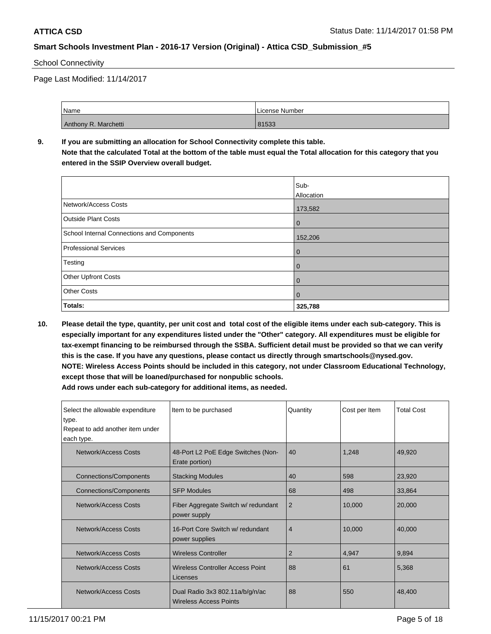### School Connectivity

Page Last Modified: 11/14/2017

| Name                 | License Number |
|----------------------|----------------|
| Anthony R. Marchetti | 81533          |

# **9. If you are submitting an allocation for School Connectivity complete this table.**

**Note that the calculated Total at the bottom of the table must equal the Total allocation for this category that you entered in the SSIP Overview overall budget.** 

|                                            | Sub-                  |
|--------------------------------------------|-----------------------|
| Network/Access Costs                       | Allocation<br>173,582 |
| <b>Outside Plant Costs</b>                 | $\mathbf 0$           |
| School Internal Connections and Components | 152,206               |
| <b>Professional Services</b>               | $\mathbf 0$           |
| Testing                                    | $\overline{0}$        |
| Other Upfront Costs                        | $\mathbf 0$           |
| <b>Other Costs</b>                         | $\overline{0}$        |
| Totals:                                    | 325,788               |

**10. Please detail the type, quantity, per unit cost and total cost of the eligible items under each sub-category. This is especially important for any expenditures listed under the "Other" category. All expenditures must be eligible for tax-exempt financing to be reimbursed through the SSBA. Sufficient detail must be provided so that we can verify this is the case. If you have any questions, please contact us directly through smartschools@nysed.gov. NOTE: Wireless Access Points should be included in this category, not under Classroom Educational Technology, except those that will be loaned/purchased for nonpublic schools.**

| Select the allowable expenditure<br>type.<br>Repeat to add another item under<br>each type. | Item to be purchased                                 | Quantity       | Cost per Item | <b>Total Cost</b> |
|---------------------------------------------------------------------------------------------|------------------------------------------------------|----------------|---------------|-------------------|
| Network/Access Costs                                                                        | 48-Port L2 PoE Edge Switches (Non-<br>Erate portion) | 40             | 1,248         | 49,920            |
| <b>Connections/Components</b>                                                               | <b>Stacking Modules</b>                              | 40             | 598           | 23,920            |
| <b>Connections/Components</b>                                                               | <b>SFP Modules</b>                                   | 68             | 498           | 33,864            |
| Network/Access Costs                                                                        | Fiber Aggregate Switch w/ redundant<br>power supply  | $\overline{2}$ | 10,000        | 20,000            |
| Network/Access Costs                                                                        | 16-Port Core Switch w/ redundant<br>power supplies   | 4              | 10,000        | 40,000            |
| Network/Access Costs                                                                        | <b>Wireless Controller</b>                           | 2              | 4,947         | 9,894             |
| Network/Access Costs                                                                        | Wireless Controller Access Point<br>Licenses         |                | 61            | 5,368             |
| Network/Access Costs<br>Dual Radio 3x3 802.11a/b/g/n/ac<br><b>Wireless Access Points</b>    |                                                      | 88             | 550           | 48,400            |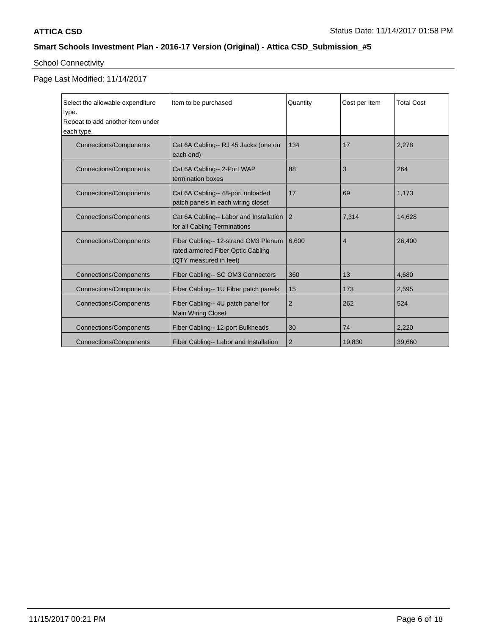# School Connectivity

Page Last Modified: 11/14/2017

| Select the allowable expenditure<br>type.<br>Repeat to add another item under<br>each type.                                                                            | Item to be purchased                                                                                | Quantity       | Cost per Item  | <b>Total Cost</b> |
|------------------------------------------------------------------------------------------------------------------------------------------------------------------------|-----------------------------------------------------------------------------------------------------|----------------|----------------|-------------------|
| <b>Connections/Components</b>                                                                                                                                          | Cat 6A Cabling-- RJ 45 Jacks (one on<br>each end)                                                   | 134            | 17             | 2,278             |
| <b>Connections/Components</b>                                                                                                                                          | Cat 6A Cabling-- 2-Port WAP<br>termination boxes                                                    | 88             | 3              | 264               |
| <b>Connections/Components</b>                                                                                                                                          | Cat 6A Cabling-- 48-port unloaded<br>patch panels in each wiring closet                             | 17             | 69             | 1,173             |
| <b>Connections/Components</b>                                                                                                                                          | Cat 6A Cabling-- Labor and Installation<br>$\overline{2}$<br>for all Cabling Terminations           |                | 7,314          | 14.628            |
| <b>Connections/Components</b>                                                                                                                                          | Fiber Cabling-- 12-strand OM3 Plenum<br>rated armored Fiber Optic Cabling<br>(QTY measured in feet) | 6,600          | $\overline{4}$ | 26,400            |
| <b>Connections/Components</b>                                                                                                                                          | Fiber Cabling-- SC OM3 Connectors                                                                   | 360            | 13             | 4,680             |
| <b>Connections/Components</b>                                                                                                                                          | Fiber Cabling-- 1U Fiber patch panels                                                               | 15             | 173            | 2,595             |
| Fiber Cabling-- 4U patch panel for<br><b>Connections/Components</b><br><b>Main Wiring Closet</b><br>Fiber Cabling-- 12-port Bulkheads<br><b>Connections/Components</b> |                                                                                                     | $\overline{2}$ | 262            | 524               |
|                                                                                                                                                                        |                                                                                                     | 30             | 74             | 2,220             |
| <b>Connections/Components</b>                                                                                                                                          | Fiber Cabling-- Labor and Installation                                                              | $\overline{2}$ | 19,830         | 39,660            |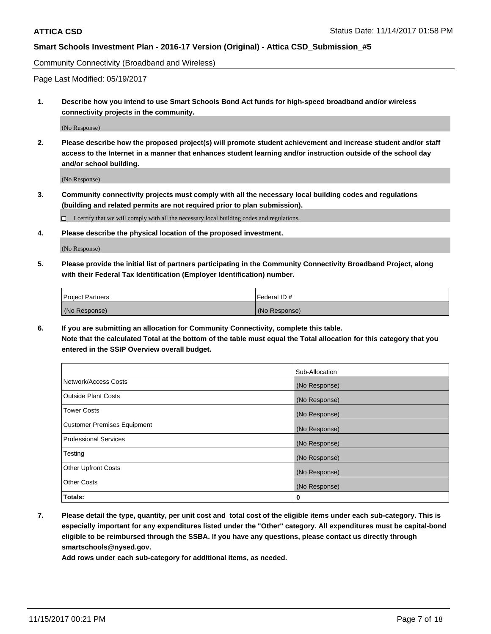Community Connectivity (Broadband and Wireless)

Page Last Modified: 05/19/2017

**1. Describe how you intend to use Smart Schools Bond Act funds for high-speed broadband and/or wireless connectivity projects in the community.**

(No Response)

**2. Please describe how the proposed project(s) will promote student achievement and increase student and/or staff access to the Internet in a manner that enhances student learning and/or instruction outside of the school day and/or school building.**

(No Response)

**3. Community connectivity projects must comply with all the necessary local building codes and regulations (building and related permits are not required prior to plan submission).**

 $\Box$  I certify that we will comply with all the necessary local building codes and regulations.

**4. Please describe the physical location of the proposed investment.**

(No Response)

**5. Please provide the initial list of partners participating in the Community Connectivity Broadband Project, along with their Federal Tax Identification (Employer Identification) number.**

| <b>Project Partners</b> | l Federal ID # |
|-------------------------|----------------|
| (No Response)           | (No Response)  |

**6. If you are submitting an allocation for Community Connectivity, complete this table. Note that the calculated Total at the bottom of the table must equal the Total allocation for this category that you entered in the SSIP Overview overall budget.**

|                                    | Sub-Allocation |
|------------------------------------|----------------|
| Network/Access Costs               | (No Response)  |
| <b>Outside Plant Costs</b>         | (No Response)  |
| <b>Tower Costs</b>                 | (No Response)  |
| <b>Customer Premises Equipment</b> | (No Response)  |
| <b>Professional Services</b>       | (No Response)  |
| Testing                            | (No Response)  |
| <b>Other Upfront Costs</b>         | (No Response)  |
| <b>Other Costs</b>                 | (No Response)  |
| Totals:                            | 0              |

**7. Please detail the type, quantity, per unit cost and total cost of the eligible items under each sub-category. This is especially important for any expenditures listed under the "Other" category. All expenditures must be capital-bond eligible to be reimbursed through the SSBA. If you have any questions, please contact us directly through smartschools@nysed.gov.**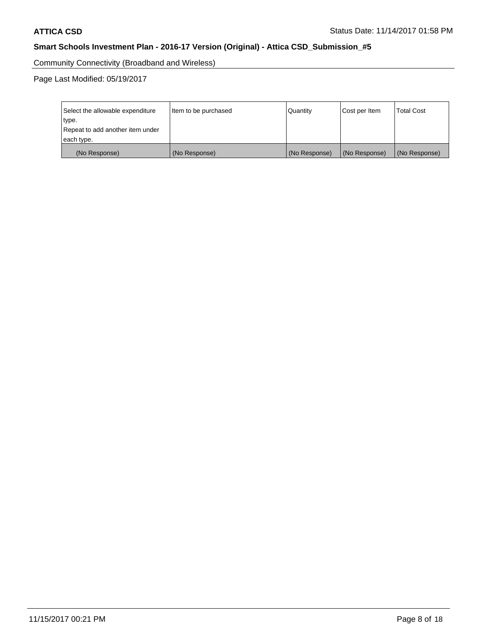Community Connectivity (Broadband and Wireless)

Page Last Modified: 05/19/2017

| Select the allowable expenditure<br>type.<br>Repeat to add another item under | Item to be purchased | Quantity      | Cost per Item | <b>Total Cost</b> |
|-------------------------------------------------------------------------------|----------------------|---------------|---------------|-------------------|
| each type.                                                                    |                      |               |               |                   |
| (No Response)                                                                 | (No Response)        | (No Response) | (No Response) | (No Response)     |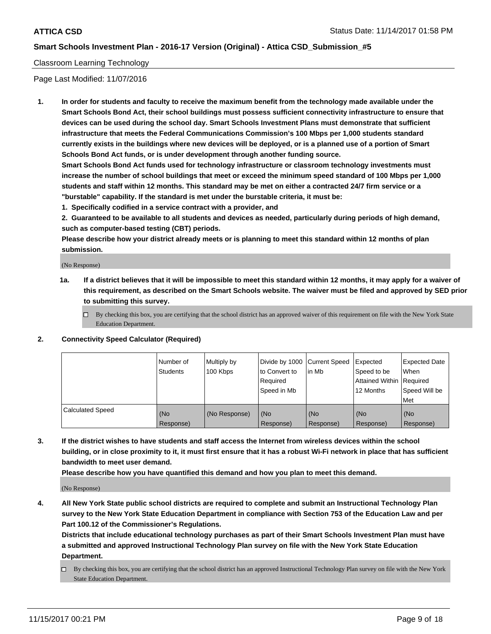#### Classroom Learning Technology

Page Last Modified: 11/07/2016

**1. In order for students and faculty to receive the maximum benefit from the technology made available under the Smart Schools Bond Act, their school buildings must possess sufficient connectivity infrastructure to ensure that devices can be used during the school day. Smart Schools Investment Plans must demonstrate that sufficient infrastructure that meets the Federal Communications Commission's 100 Mbps per 1,000 students standard currently exists in the buildings where new devices will be deployed, or is a planned use of a portion of Smart Schools Bond Act funds, or is under development through another funding source.**

**Smart Schools Bond Act funds used for technology infrastructure or classroom technology investments must increase the number of school buildings that meet or exceed the minimum speed standard of 100 Mbps per 1,000 students and staff within 12 months. This standard may be met on either a contracted 24/7 firm service or a "burstable" capability. If the standard is met under the burstable criteria, it must be:**

**1. Specifically codified in a service contract with a provider, and**

**2. Guaranteed to be available to all students and devices as needed, particularly during periods of high demand, such as computer-based testing (CBT) periods.**

**Please describe how your district already meets or is planning to meet this standard within 12 months of plan submission.**

(No Response)

- **1a. If a district believes that it will be impossible to meet this standard within 12 months, it may apply for a waiver of this requirement, as described on the Smart Schools website. The waiver must be filed and approved by SED prior to submitting this survey.**
	- $\Box$  By checking this box, you are certifying that the school district has an approved waiver of this requirement on file with the New York State Education Department.
- **2. Connectivity Speed Calculator (Required)**

|                         | Number of<br>Students | Multiply by<br>100 Kbps | Divide by 1000 Current Speed<br>to Convert to<br>Required<br>Speed in Mb | l in Mb          | Expected<br>Speed to be<br>Attained Within   Required<br>12 Months | <b>Expected Date</b><br>When<br>Speed Will be<br><b>Met</b> |
|-------------------------|-----------------------|-------------------------|--------------------------------------------------------------------------|------------------|--------------------------------------------------------------------|-------------------------------------------------------------|
| <b>Calculated Speed</b> | (No<br>Response)      | (No Response)           | (No<br>Response)                                                         | (No<br>Response) | (No<br>Response)                                                   | (No<br>Response)                                            |

**3. If the district wishes to have students and staff access the Internet from wireless devices within the school building, or in close proximity to it, it must first ensure that it has a robust Wi-Fi network in place that has sufficient bandwidth to meet user demand.**

**Please describe how you have quantified this demand and how you plan to meet this demand.**

(No Response)

**4. All New York State public school districts are required to complete and submit an Instructional Technology Plan survey to the New York State Education Department in compliance with Section 753 of the Education Law and per Part 100.12 of the Commissioner's Regulations.**

**Districts that include educational technology purchases as part of their Smart Schools Investment Plan must have a submitted and approved Instructional Technology Plan survey on file with the New York State Education Department.**

By checking this box, you are certifying that the school district has an approved Instructional Technology Plan survey on file with the New York State Education Department.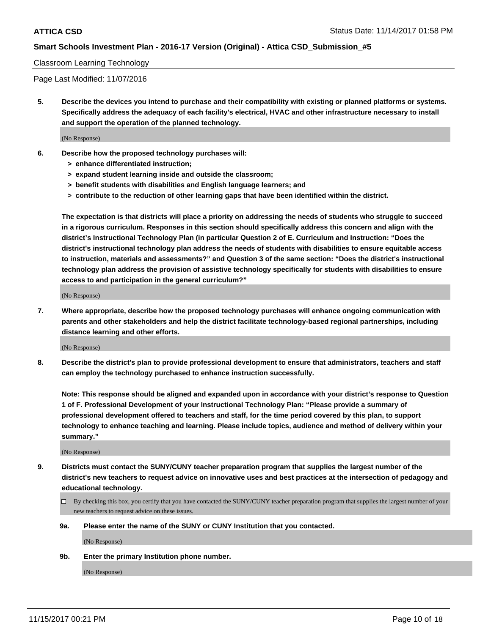#### Classroom Learning Technology

Page Last Modified: 11/07/2016

**5. Describe the devices you intend to purchase and their compatibility with existing or planned platforms or systems. Specifically address the adequacy of each facility's electrical, HVAC and other infrastructure necessary to install and support the operation of the planned technology.**

(No Response)

- **6. Describe how the proposed technology purchases will:**
	- **> enhance differentiated instruction;**
	- **> expand student learning inside and outside the classroom;**
	- **> benefit students with disabilities and English language learners; and**
	- **> contribute to the reduction of other learning gaps that have been identified within the district.**

**The expectation is that districts will place a priority on addressing the needs of students who struggle to succeed in a rigorous curriculum. Responses in this section should specifically address this concern and align with the district's Instructional Technology Plan (in particular Question 2 of E. Curriculum and Instruction: "Does the district's instructional technology plan address the needs of students with disabilities to ensure equitable access to instruction, materials and assessments?" and Question 3 of the same section: "Does the district's instructional technology plan address the provision of assistive technology specifically for students with disabilities to ensure access to and participation in the general curriculum?"**

(No Response)

**7. Where appropriate, describe how the proposed technology purchases will enhance ongoing communication with parents and other stakeholders and help the district facilitate technology-based regional partnerships, including distance learning and other efforts.**

(No Response)

**8. Describe the district's plan to provide professional development to ensure that administrators, teachers and staff can employ the technology purchased to enhance instruction successfully.**

**Note: This response should be aligned and expanded upon in accordance with your district's response to Question 1 of F. Professional Development of your Instructional Technology Plan: "Please provide a summary of professional development offered to teachers and staff, for the time period covered by this plan, to support technology to enhance teaching and learning. Please include topics, audience and method of delivery within your summary."**

(No Response)

- **9. Districts must contact the SUNY/CUNY teacher preparation program that supplies the largest number of the district's new teachers to request advice on innovative uses and best practices at the intersection of pedagogy and educational technology.**
	- By checking this box, you certify that you have contacted the SUNY/CUNY teacher preparation program that supplies the largest number of your new teachers to request advice on these issues.
	- **9a. Please enter the name of the SUNY or CUNY Institution that you contacted.**

(No Response)

**9b. Enter the primary Institution phone number.**

(No Response)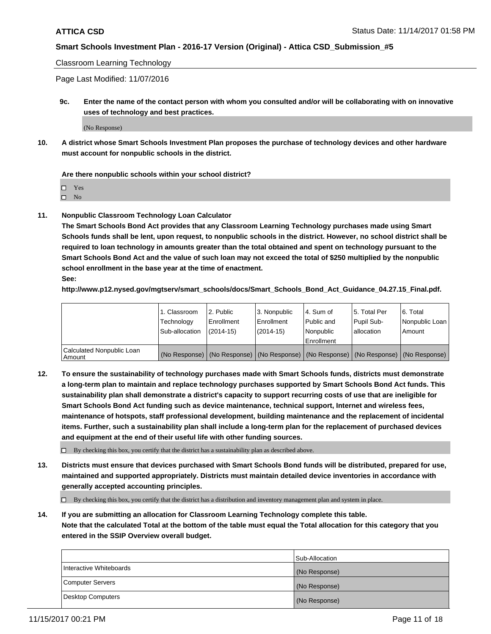#### Classroom Learning Technology

Page Last Modified: 11/07/2016

**9c. Enter the name of the contact person with whom you consulted and/or will be collaborating with on innovative uses of technology and best practices.**

(No Response)

**10. A district whose Smart Schools Investment Plan proposes the purchase of technology devices and other hardware must account for nonpublic schools in the district.**

**Are there nonpublic schools within your school district?**

Yes

 $\square$  No

**11. Nonpublic Classroom Technology Loan Calculator**

**The Smart Schools Bond Act provides that any Classroom Learning Technology purchases made using Smart Schools funds shall be lent, upon request, to nonpublic schools in the district. However, no school district shall be required to loan technology in amounts greater than the total obtained and spent on technology pursuant to the Smart Schools Bond Act and the value of such loan may not exceed the total of \$250 multiplied by the nonpublic school enrollment in the base year at the time of enactment.**

**See:**

**http://www.p12.nysed.gov/mgtserv/smart\_schools/docs/Smart\_Schools\_Bond\_Act\_Guidance\_04.27.15\_Final.pdf.**

|                                       | 1. Classroom   | l 2. Public   | 3. Nonpublic | l 4. Sum of | 15. Total Per                                                                                 | 6. Total       |
|---------------------------------------|----------------|---------------|--------------|-------------|-----------------------------------------------------------------------------------------------|----------------|
|                                       | Technology     | Enrollment    | Enrollment   | Public and  | Pupil Sub-                                                                                    | Nonpublic Loan |
|                                       | Sub-allocation | $(2014 - 15)$ | $(2014-15)$  | l Nonpublic | allocation                                                                                    | Amount         |
|                                       |                |               |              | Enrollment  |                                                                                               |                |
| Calculated Nonpublic Loan<br>  Amount |                |               |              |             | (No Response)   (No Response)   (No Response)   (No Response)   (No Response)   (No Response) |                |

**12. To ensure the sustainability of technology purchases made with Smart Schools funds, districts must demonstrate a long-term plan to maintain and replace technology purchases supported by Smart Schools Bond Act funds. This sustainability plan shall demonstrate a district's capacity to support recurring costs of use that are ineligible for Smart Schools Bond Act funding such as device maintenance, technical support, Internet and wireless fees, maintenance of hotspots, staff professional development, building maintenance and the replacement of incidental items. Further, such a sustainability plan shall include a long-term plan for the replacement of purchased devices and equipment at the end of their useful life with other funding sources.**

 $\Box$  By checking this box, you certify that the district has a sustainability plan as described above.

**13. Districts must ensure that devices purchased with Smart Schools Bond funds will be distributed, prepared for use, maintained and supported appropriately. Districts must maintain detailed device inventories in accordance with generally accepted accounting principles.**

By checking this box, you certify that the district has a distribution and inventory management plan and system in place.

**14. If you are submitting an allocation for Classroom Learning Technology complete this table. Note that the calculated Total at the bottom of the table must equal the Total allocation for this category that you entered in the SSIP Overview overall budget.**

|                         | Sub-Allocation |
|-------------------------|----------------|
| Interactive Whiteboards | (No Response)  |
| Computer Servers        | (No Response)  |
| Desktop Computers       | (No Response)  |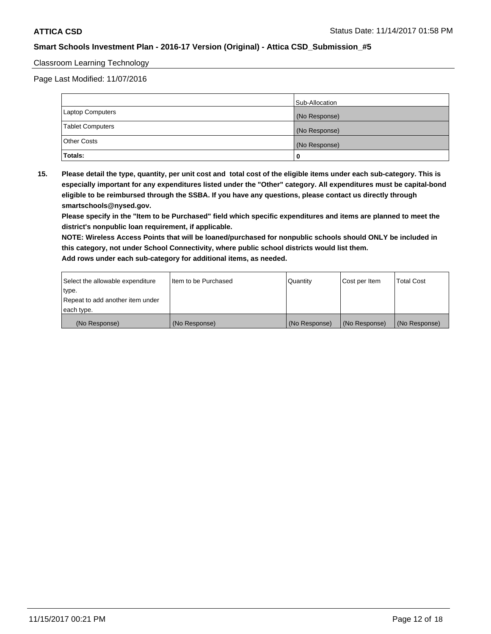#### Classroom Learning Technology

Page Last Modified: 11/07/2016

|                         | Sub-Allocation |
|-------------------------|----------------|
| <b>Laptop Computers</b> | (No Response)  |
| <b>Tablet Computers</b> | (No Response)  |
| <b>Other Costs</b>      | (No Response)  |
| Totals:                 |                |

**15. Please detail the type, quantity, per unit cost and total cost of the eligible items under each sub-category. This is especially important for any expenditures listed under the "Other" category. All expenditures must be capital-bond eligible to be reimbursed through the SSBA. If you have any questions, please contact us directly through smartschools@nysed.gov.**

**Please specify in the "Item to be Purchased" field which specific expenditures and items are planned to meet the district's nonpublic loan requirement, if applicable.**

**NOTE: Wireless Access Points that will be loaned/purchased for nonpublic schools should ONLY be included in this category, not under School Connectivity, where public school districts would list them. Add rows under each sub-category for additional items, as needed.**

| Select the allowable expenditure | Iltem to be Purchased | Quantity      | Cost per Item | <b>Total Cost</b> |
|----------------------------------|-----------------------|---------------|---------------|-------------------|
| type.                            |                       |               |               |                   |
| Repeat to add another item under |                       |               |               |                   |
| each type.                       |                       |               |               |                   |
| (No Response)                    | (No Response)         | (No Response) | (No Response) | (No Response)     |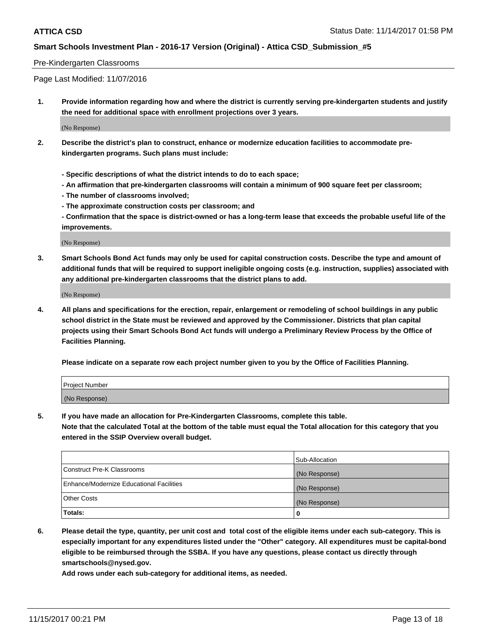#### Pre-Kindergarten Classrooms

Page Last Modified: 11/07/2016

**1. Provide information regarding how and where the district is currently serving pre-kindergarten students and justify the need for additional space with enrollment projections over 3 years.**

(No Response)

- **2. Describe the district's plan to construct, enhance or modernize education facilities to accommodate prekindergarten programs. Such plans must include:**
	- **Specific descriptions of what the district intends to do to each space;**
	- **An affirmation that pre-kindergarten classrooms will contain a minimum of 900 square feet per classroom;**
	- **The number of classrooms involved;**
	- **The approximate construction costs per classroom; and**
	- **Confirmation that the space is district-owned or has a long-term lease that exceeds the probable useful life of the improvements.**

(No Response)

**3. Smart Schools Bond Act funds may only be used for capital construction costs. Describe the type and amount of additional funds that will be required to support ineligible ongoing costs (e.g. instruction, supplies) associated with any additional pre-kindergarten classrooms that the district plans to add.**

(No Response)

**4. All plans and specifications for the erection, repair, enlargement or remodeling of school buildings in any public school district in the State must be reviewed and approved by the Commissioner. Districts that plan capital projects using their Smart Schools Bond Act funds will undergo a Preliminary Review Process by the Office of Facilities Planning.**

**Please indicate on a separate row each project number given to you by the Office of Facilities Planning.**

| Project Number |  |
|----------------|--|
| (No Response)  |  |

**5. If you have made an allocation for Pre-Kindergarten Classrooms, complete this table.**

**Note that the calculated Total at the bottom of the table must equal the Total allocation for this category that you entered in the SSIP Overview overall budget.**

|                                          | Sub-Allocation |
|------------------------------------------|----------------|
| Construct Pre-K Classrooms               | (No Response)  |
| Enhance/Modernize Educational Facilities | (No Response)  |
| <b>Other Costs</b>                       | (No Response)  |
| <b>Totals:</b>                           | 0              |

**6. Please detail the type, quantity, per unit cost and total cost of the eligible items under each sub-category. This is especially important for any expenditures listed under the "Other" category. All expenditures must be capital-bond eligible to be reimbursed through the SSBA. If you have any questions, please contact us directly through smartschools@nysed.gov.**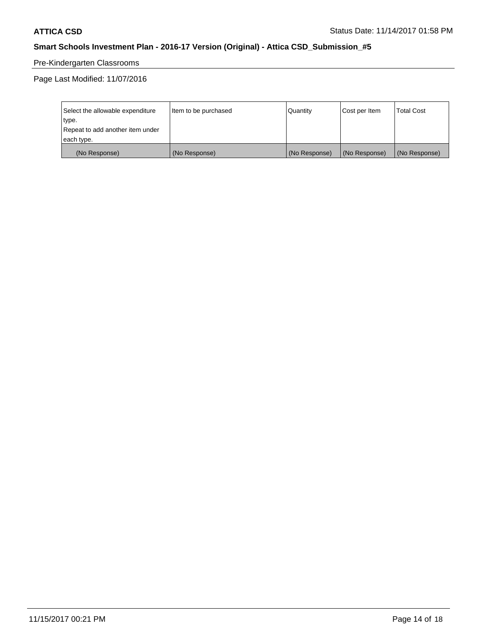# Pre-Kindergarten Classrooms

Page Last Modified: 11/07/2016

| Select the allowable expenditure | Item to be purchased | Quantity      | Cost per Item | <b>Total Cost</b> |
|----------------------------------|----------------------|---------------|---------------|-------------------|
| type.                            |                      |               |               |                   |
| Repeat to add another item under |                      |               |               |                   |
| each type.                       |                      |               |               |                   |
| (No Response)                    | (No Response)        | (No Response) | (No Response) | (No Response)     |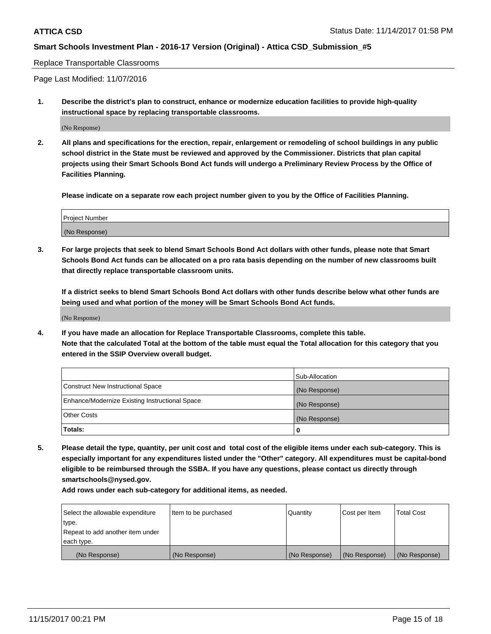#### Replace Transportable Classrooms

Page Last Modified: 11/07/2016

**1. Describe the district's plan to construct, enhance or modernize education facilities to provide high-quality instructional space by replacing transportable classrooms.**

(No Response)

**2. All plans and specifications for the erection, repair, enlargement or remodeling of school buildings in any public school district in the State must be reviewed and approved by the Commissioner. Districts that plan capital projects using their Smart Schools Bond Act funds will undergo a Preliminary Review Process by the Office of Facilities Planning.**

**Please indicate on a separate row each project number given to you by the Office of Facilities Planning.**

| <b>Project Number</b> |  |
|-----------------------|--|
| (No Response)         |  |

**3. For large projects that seek to blend Smart Schools Bond Act dollars with other funds, please note that Smart Schools Bond Act funds can be allocated on a pro rata basis depending on the number of new classrooms built that directly replace transportable classroom units.**

**If a district seeks to blend Smart Schools Bond Act dollars with other funds describe below what other funds are being used and what portion of the money will be Smart Schools Bond Act funds.**

(No Response)

**4. If you have made an allocation for Replace Transportable Classrooms, complete this table. Note that the calculated Total at the bottom of the table must equal the Total allocation for this category that you entered in the SSIP Overview overall budget.**

|                                                | Sub-Allocation |
|------------------------------------------------|----------------|
| Construct New Instructional Space              | (No Response)  |
| Enhance/Modernize Existing Instructional Space | (No Response)  |
| <b>Other Costs</b>                             | (No Response)  |
| Totals:                                        | 0              |

**5. Please detail the type, quantity, per unit cost and total cost of the eligible items under each sub-category. This is especially important for any expenditures listed under the "Other" category. All expenditures must be capital-bond eligible to be reimbursed through the SSBA. If you have any questions, please contact us directly through smartschools@nysed.gov.**

| Select the allowable expenditure<br>type.<br>Repeat to add another item under<br>each type. | Item to be purchased | Quantity      | Cost per Item | <b>Total Cost</b> |
|---------------------------------------------------------------------------------------------|----------------------|---------------|---------------|-------------------|
|                                                                                             |                      |               |               |                   |
| (No Response)                                                                               | (No Response)        | (No Response) | (No Response) | (No Response)     |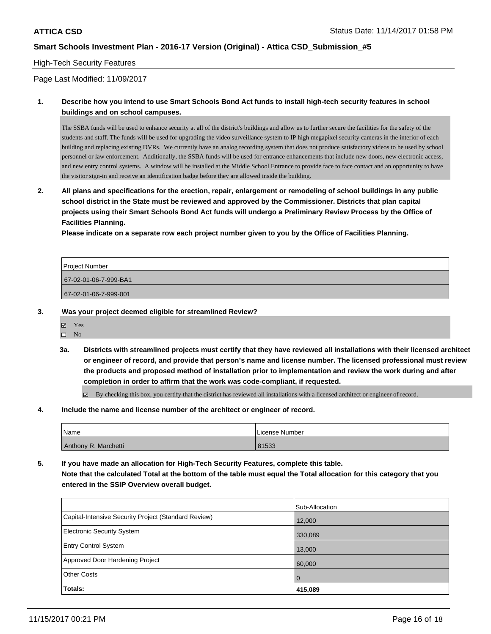#### High-Tech Security Features

Page Last Modified: 11/09/2017

#### **1. Describe how you intend to use Smart Schools Bond Act funds to install high-tech security features in school buildings and on school campuses.**

The SSBA funds will be used to enhance security at all of the district's buildings and allow us to further secure the facilities for the safety of the students and staff. The funds will be used for upgrading the video surveillance system to IP high megapixel security cameras in the interior of each building and replacing existing DVRs. We currently have an analog recording system that does not produce satisfactory videos to be used by school personnel or law enforcement. Additionally, the SSBA funds will be used for entrance enhancements that include new doors, new electronic access, and new entry control systems. A window will be installed at the Middle School Entrance to provide face to face contact and an opportunity to have the visitor sign-in and receive an identification badge before they are allowed inside the building.

**2. All plans and specifications for the erection, repair, enlargement or remodeling of school buildings in any public school district in the State must be reviewed and approved by the Commissioner. Districts that plan capital projects using their Smart Schools Bond Act funds will undergo a Preliminary Review Process by the Office of Facilities Planning.** 

**Please indicate on a separate row each project number given to you by the Office of Facilities Planning.**

| <b>Project Number</b> |  |
|-----------------------|--|
| 67-02-01-06-7-999-BA1 |  |
| 67-02-01-06-7-999-001 |  |
|                       |  |

#### **3. Was your project deemed eligible for streamlined Review?**

- Yes
- $\square$  No
- **3a. Districts with streamlined projects must certify that they have reviewed all installations with their licensed architect or engineer of record, and provide that person's name and license number. The licensed professional must review the products and proposed method of installation prior to implementation and review the work during and after completion in order to affirm that the work was code-compliant, if requested.**

By checking this box, you certify that the district has reviewed all installations with a licensed architect or engineer of record.

#### **4. Include the name and license number of the architect or engineer of record.**

| <b>Name</b>          | License Number |
|----------------------|----------------|
| Anthony R. Marchetti | 81533          |

**5. If you have made an allocation for High-Tech Security Features, complete this table. Note that the calculated Total at the bottom of the table must equal the Total allocation for this category that you entered in the SSIP Overview overall budget.**

|                                                      | Sub-Allocation |
|------------------------------------------------------|----------------|
| Capital-Intensive Security Project (Standard Review) | 12,000         |
| <b>Electronic Security System</b>                    | 330,089        |
| <b>Entry Control System</b>                          | 13,000         |
| Approved Door Hardening Project                      | 60,000         |
| <b>Other Costs</b>                                   | l O            |
| <b>Totals:</b>                                       | 415,089        |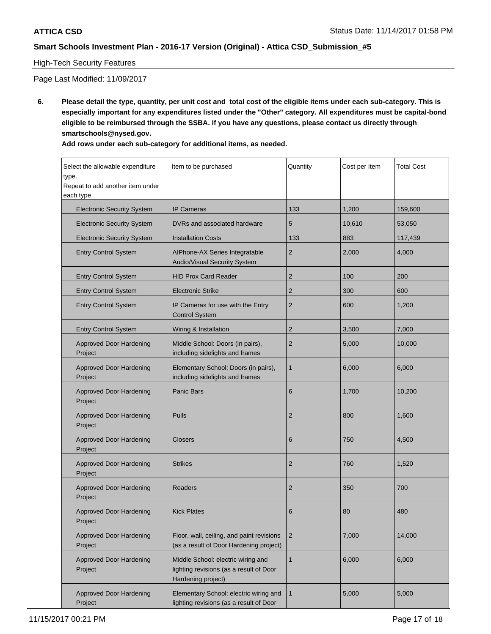### High-Tech Security Features

Page Last Modified: 11/09/2017

**6. Please detail the type, quantity, per unit cost and total cost of the eligible items under each sub-category. This is especially important for any expenditures listed under the "Other" category. All expenditures must be capital-bond eligible to be reimbursed through the SSBA. If you have any questions, please contact us directly through smartschools@nysed.gov.**

| Add rows under each sub-category for additional items, as needed. |  |  |  |  |  |  |  |  |  |
|-------------------------------------------------------------------|--|--|--|--|--|--|--|--|--|
|-------------------------------------------------------------------|--|--|--|--|--|--|--|--|--|

| Select the allowable expenditure<br>type.<br>Repeat to add another item under<br>each type. | Item to be purchased                                                                                | Quantity       | Cost per Item | <b>Total Cost</b> |
|---------------------------------------------------------------------------------------------|-----------------------------------------------------------------------------------------------------|----------------|---------------|-------------------|
| <b>Electronic Security System</b>                                                           | <b>IP Cameras</b>                                                                                   | 133            | 1,200         | 159,600           |
| <b>Electronic Security System</b>                                                           | DVRs and associated hardware                                                                        | 5              | 10,610        | 53,050            |
| <b>Electronic Security System</b>                                                           | <b>Installation Costs</b>                                                                           | 133            | 883           | 117,439           |
| <b>Entry Control System</b>                                                                 | AlPhone-AX Series Integratable<br>Audio/Visual Security System                                      | $\overline{2}$ | 2,000         | 4,000             |
| <b>Entry Control System</b>                                                                 | <b>HID Prox Card Reader</b>                                                                         | $\overline{2}$ | 100           | 200               |
| <b>Entry Control System</b>                                                                 | <b>Electronic Strike</b>                                                                            | $\overline{2}$ | 300           | 600               |
| <b>Entry Control System</b>                                                                 | IP Cameras for use with the Entry<br><b>Control System</b>                                          | $\overline{2}$ | 600           | 1,200             |
| <b>Entry Control System</b>                                                                 | Wiring & Installation                                                                               | $\overline{2}$ | 3,500         | 7,000             |
| <b>Approved Door Hardening</b><br>Project                                                   | Middle School: Doors (in pairs),<br>including sidelights and frames                                 | $\overline{2}$ | 5,000         | 10,000            |
| <b>Approved Door Hardening</b><br>Project                                                   | Elementary School: Doors (in pairs),<br>including sidelights and frames                             | $\mathbf{1}$   | 6,000         | 6,000             |
| <b>Approved Door Hardening</b><br>Project                                                   | <b>Panic Bars</b>                                                                                   | 6              | 1,700         | 10,200            |
| <b>Approved Door Hardening</b><br>Project                                                   | <b>Pulls</b>                                                                                        | $\overline{2}$ | 800           | 1,600             |
| <b>Approved Door Hardening</b><br>Project                                                   | <b>Closers</b>                                                                                      | 6              | 750           | 4,500             |
| <b>Approved Door Hardening</b><br>Project                                                   | <b>Strikes</b>                                                                                      | $\overline{2}$ | 760           | 1,520             |
| <b>Approved Door Hardening</b><br>Project                                                   | <b>Readers</b>                                                                                      | $\overline{2}$ | 350           | 700               |
| Approved Door Hardening<br>Project                                                          | <b>Kick Plates</b>                                                                                  | 6              | 80            | 480               |
| <b>Approved Door Hardening</b><br>Project                                                   | Floor, wall, ceiling, and paint revisions<br>(as a result of Door Hardening project)                | $\overline{2}$ | 7,000         | 14,000            |
| <b>Approved Door Hardening</b><br>Project                                                   | Middle School: electric wiring and<br>lighting revisions (as a result of Door<br>Hardening project) | $\mathbf{1}$   | 6,000         | 6,000             |
| <b>Approved Door Hardening</b><br>Project                                                   | Elementary School: electric wiring and<br>lighting revisions (as a result of Door                   | $\mathbf{1}$   | 5,000         | 5,000             |